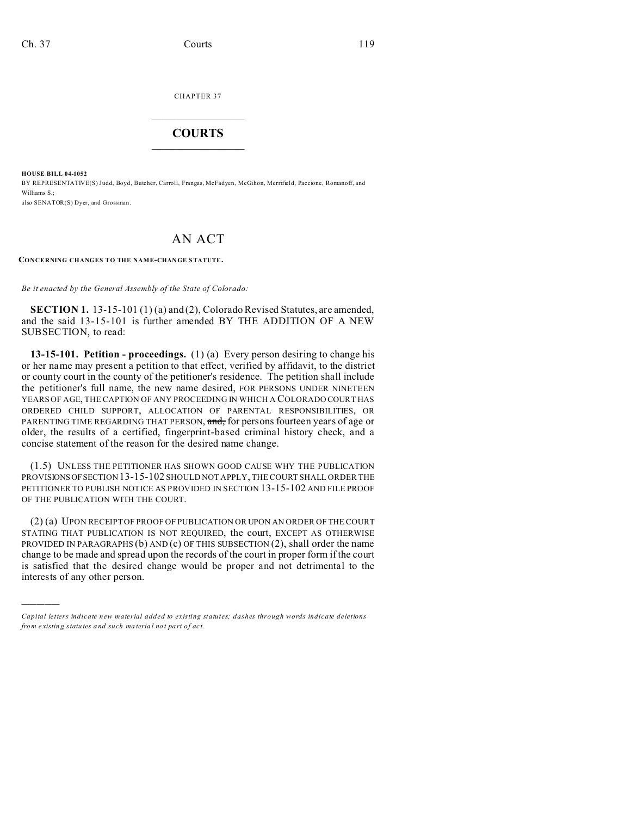CHAPTER 37  $\overline{\phantom{a}}$  , where  $\overline{\phantom{a}}$ 

## **COURTS**  $\_$

**HOUSE BILL 04-1052** BY REPRESENTATIVE(S) Judd, Boyd, Butcher, Carroll, Frangas, McFadyen, McGihon, Merrifield, Paccione, Romanoff, and Williams S.;

also SENATOR(S) Dyer, and Grossman.

)))))

## AN ACT

**CONCERNING CHANGES TO THE NAME-CHAN GE STATUTE.**

*Be it enacted by the General Assembly of the State of Colorado:*

**SECTION 1.** 13-15-101 (1) (a) and (2), Colorado Revised Statutes, are amended, and the said 13-15-101 is further amended BY THE ADDITION OF A NEW SUBSECTION, to read:

**13-15-101. Petition - proceedings.** (1) (a) Every person desiring to change his or her name may present a petition to that effect, verified by affidavit, to the district or county court in the county of the petitioner's residence. The petition shall include the petitioner's full name, the new name desired, FOR PERSONS UNDER NINETEEN YEARS OF AGE, THE CAPTION OF ANY PROCEEDING IN WHICH A COLORADO COURT HAS ORDERED CHILD SUPPORT, ALLOCATION OF PARENTAL RESPONSIBILITIES, OR PARENTING TIME REGARDING THAT PERSON, and, for persons fourteen years of age or older, the results of a certified, fingerprint-based criminal history check, and a concise statement of the reason for the desired name change.

(1.5) UNLESS THE PETITIONER HAS SHOWN GOOD CAUSE WHY THE PUBLICATION PROVISIONSOFSECTION 13-15-102 SHOULD NOT APPLY, THE COURT SHALL ORDER THE PETITIONER TO PUBLISH NOTICE AS PROVIDED IN SECTION 13-15-102 AND FILE PROOF OF THE PUBLICATION WITH THE COURT.

(2) (a) UPON RECEIPT OF PROOF OF PUBLICATION OR UPON AN ORDER OF THE COURT STATING THAT PUBLICATION IS NOT REQUIRED, the court, EXCEPT AS OTHERWISE PROVIDED IN PARAGRAPHS (b) AND (c) OF THIS SUBSECTION (2), shall order the name change to be made and spread upon the records of the court in proper form if the court is satisfied that the desired change would be proper and not detrimental to the interests of any other person.

*Capital letters indicate new material added to existing statutes; dashes through words indicate deletions from e xistin g statu tes a nd such ma teria l no t pa rt of ac t.*